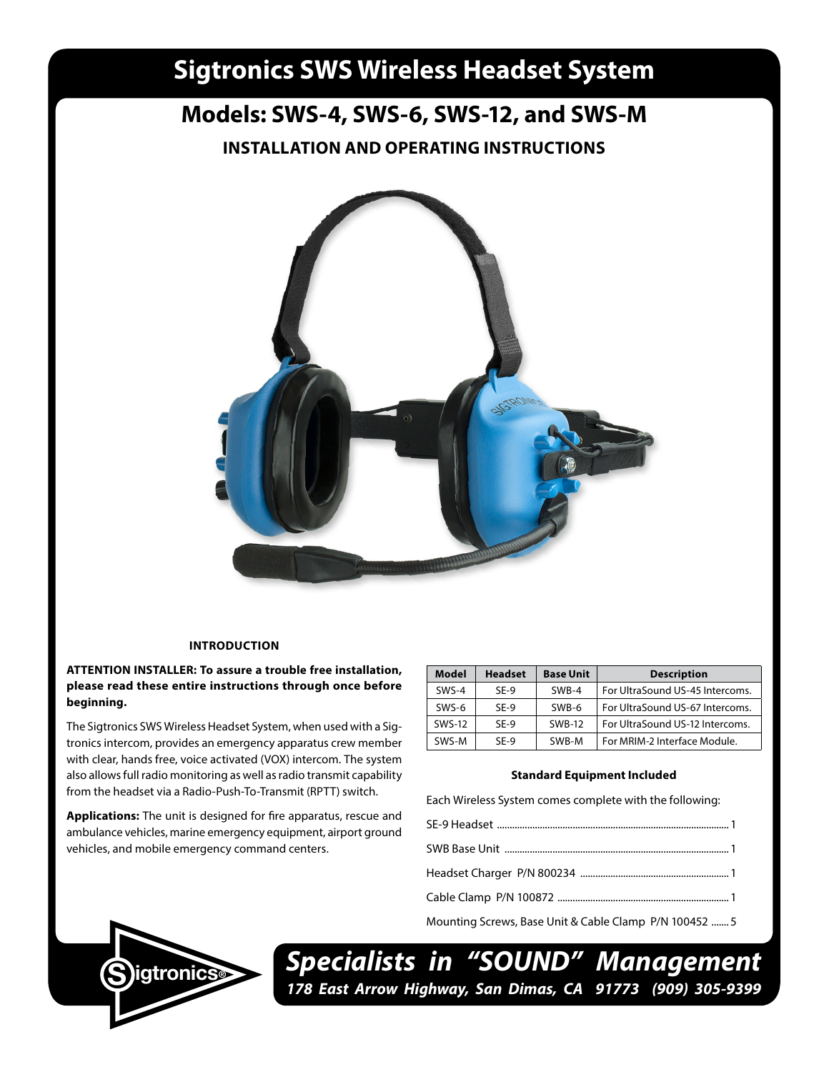# **Sigtronics SWS Wireless Headset System**

# **Models: SWS-4, SWS-6, SWS-12, and SWS-M**

**INSTALLATION AND OPERATING INSTRUCTIONS**



# **INTRODUCTION**

**ATTENTION INSTALLER: To assure a trouble free installation, please read these entire instructions through once before beginning.**

The Sigtronics SWS Wireless Headset System, when used with a Sigtronics intercom, provides an emergency apparatus crew member with clear, hands free, voice activated (VOX) intercom. The system also allows full radio monitoring as well as radio transmit capability from the headset via a Radio-Push-To-Transmit (RPTT) switch.

**Applications:** The unit is designed for fire apparatus, rescue and ambulance vehicles, marine emergency equipment, airport ground vehicles, and mobile emergency command centers.

| Model         | <b>Headset</b> | <b>Base Unit</b> | <b>Description</b>              |
|---------------|----------------|------------------|---------------------------------|
| $SWS-4$       | SF-9           | SWR-4            | For UltraSound US-45 Intercoms. |
| SWS-6         | SF-9           | SWB-6            | For UltraSound US-67 Intercoms. |
| <b>SWS-12</b> | SF-9           | <b>SWB-12</b>    | For UltraSound US-12 Intercoms. |
| SWS-M         | SF-9           | SWB-M            | For MRIM-2 Interface Module.    |

#### **Standard Equipment Included**

Each Wireless System comes complete with the following:

- SE-9 Headset ............................................................................................1
- SWB Base Unit .........................................................................................1

Headset Charger P/N 800234 ...........................................................1

Cable Clamp P/N 100872 ....................................................................1

Mounting Screws, Base Unit & Cable Clamp P/N 100452 .......5



*Specialists in "SOUND" Management* **178 East Arrow Highway, San Dimas, CA 91773 (909) 305-9399 SOCKER 178 East Arrow Highway, San Dimas, CA 91773** (909) 305-9399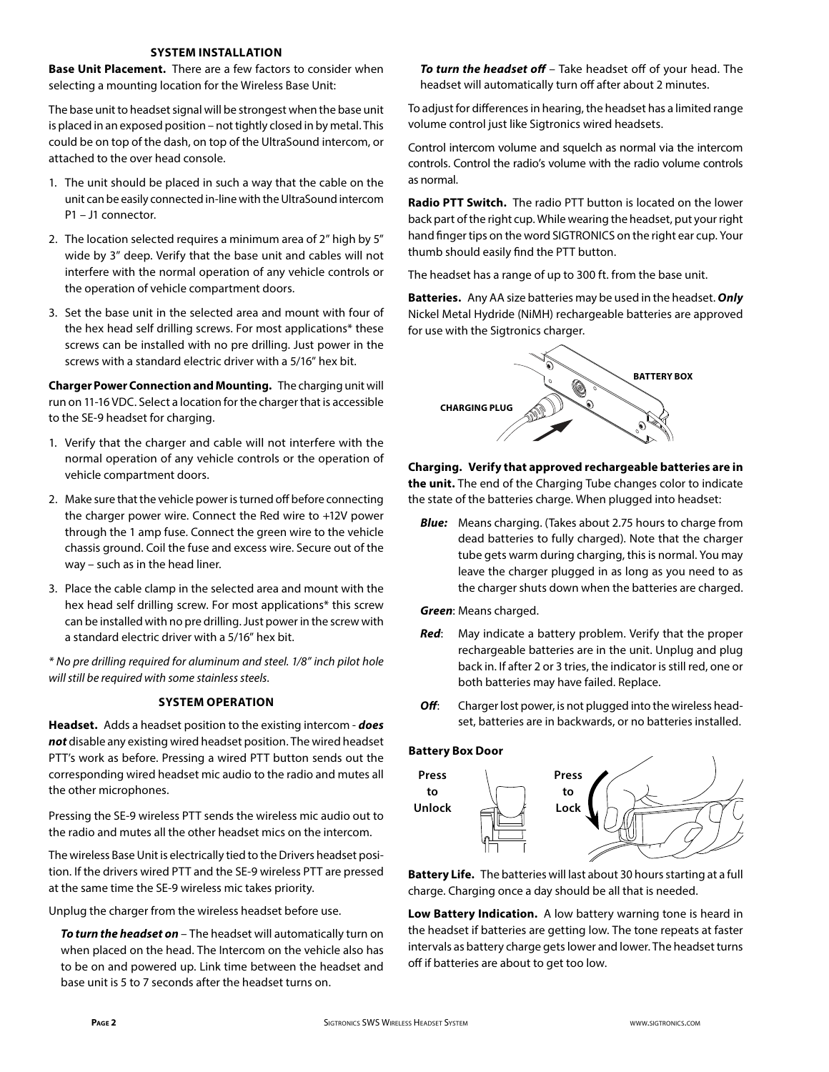### **SYSTEM INSTALLATION**

**Base Unit Placement.** There are a few factors to consider when selecting a mounting location for the Wireless Base Unit:

The base unit to headset signal will be strongest when the base unit is placed in an exposed position – not tightly closed in by metal. This could be on top of the dash, on top of the UltraSound intercom, or attached to the over head console.

- 1. The unit should be placed in such a way that the cable on the unit can be easily connected in-line with the UltraSound intercom P1 – J1 connector.
- 2. The location selected requires a minimum area of 2" high by 5" wide by 3" deep. Verify that the base unit and cables will not interfere with the normal operation of any vehicle controls or the operation of vehicle compartment doors.
- 3. Set the base unit in the selected area and mount with four of the hex head self drilling screws. For most applications\* these screws can be installed with no pre drilling. Just power in the screws with a standard electric driver with a 5/16" hex bit.

**Charger Power Connection and Mounting.** The charging unit will run on 11-16 VDC. Select a location for the charger that is accessible to the SE-9 headset for charging.

- 1. Verify that the charger and cable will not interfere with the normal operation of any vehicle controls or the operation of vehicle compartment doors.
- 2. Make sure that the vehicle power is turned off before connecting the charger power wire. Connect the Red wire to +12V power through the 1 amp fuse. Connect the green wire to the vehicle chassis ground. Coil the fuse and excess wire. Secure out of the way – such as in the head liner.
- 3. Place the cable clamp in the selected area and mount with the hex head self drilling screw. For most applications\* this screw can be installed with no pre drilling. Just power in the screw with a standard electric driver with a 5/16" hex bit.

*\* No pre drilling required for aluminum and steel. 1/8" inch pilot hole will still be required with some stainless steels.*

# **SYSTEM OPERATION**

**Headset.** Adds a headset position to the existing intercom - *does not* disable any existing wired headset position. The wired headset PTT's work as before. Pressing a wired PTT button sends out the corresponding wired headset mic audio to the radio and mutes all the other microphones.

Pressing the SE-9 wireless PTT sends the wireless mic audio out to the radio and mutes all the other headset mics on the intercom.

The wireless Base Unit is electrically tied to the Drivers headset position. If the drivers wired PTT and the SE-9 wireless PTT are pressed at the same time the SE-9 wireless mic takes priority.

Unplug the charger from the wireless headset before use.

 *To turn the headset on* – The headset will automatically turn on when placed on the head. The Intercom on the vehicle also has to be on and powered up. Link time between the headset and base unit is 5 to 7 seconds after the headset turns on.

 *To turn the headset off* – Take headset off of your head. The headset will automatically turn off after about 2 minutes.

To adjust for differences in hearing, the headset has a limited range volume control just like Sigtronics wired headsets.

Control intercom volume and squelch as normal via the intercom controls. Control the radio's volume with the radio volume controls as normal.

**Radio PTT Switch.** The radio PTT button is located on the lower back part of the right cup. While wearing the headset, put your right hand finger tips on the word SIGTRONICS on the right ear cup. Your thumb should easily find the PTT button.

The headset has a range of up to 300 ft. from the base unit.

**Batteries.** Any AA size batteries may be used in the headset. *Only* Nickel Metal Hydride (NiMH) rechargeable batteries are approved for use with the Sigtronics charger.



**Charging. Verify that approved rechargeable batteries are in the unit.** The end of the Charging Tube changes color to indicate the state of the batteries charge. When plugged into headset:

 *Blue:* Means charging. (Takes about 2.75 hours to charge from dead batteries to fully charged). Note that the charger tube gets warm during charging, this is normal. You may leave the charger plugged in as long as you need to as the charger shuts down when the batteries are charged.

*Green*: Means charged.

- *Red*: May indicate a battery problem. Verify that the proper rechargeable batteries are in the unit. Unplug and plug back in. If after 2 or 3 tries, the indicator is still red, one or both batteries may have failed. Replace.
- **Off:** Charger lost power, is not plugged into the wireless headset, batteries are in backwards, or no batteries installed.

#### **Battery Box Door**



**Battery Life.** The batteries will last about 30 hours starting at a full charge. Charging once a day should be all that is needed.

**Low Battery Indication.** A low battery warning tone is heard in the headset if batteries are getting low. The tone repeats at faster intervals as battery charge gets lower and lower. The headset turns off if batteries are about to get too low.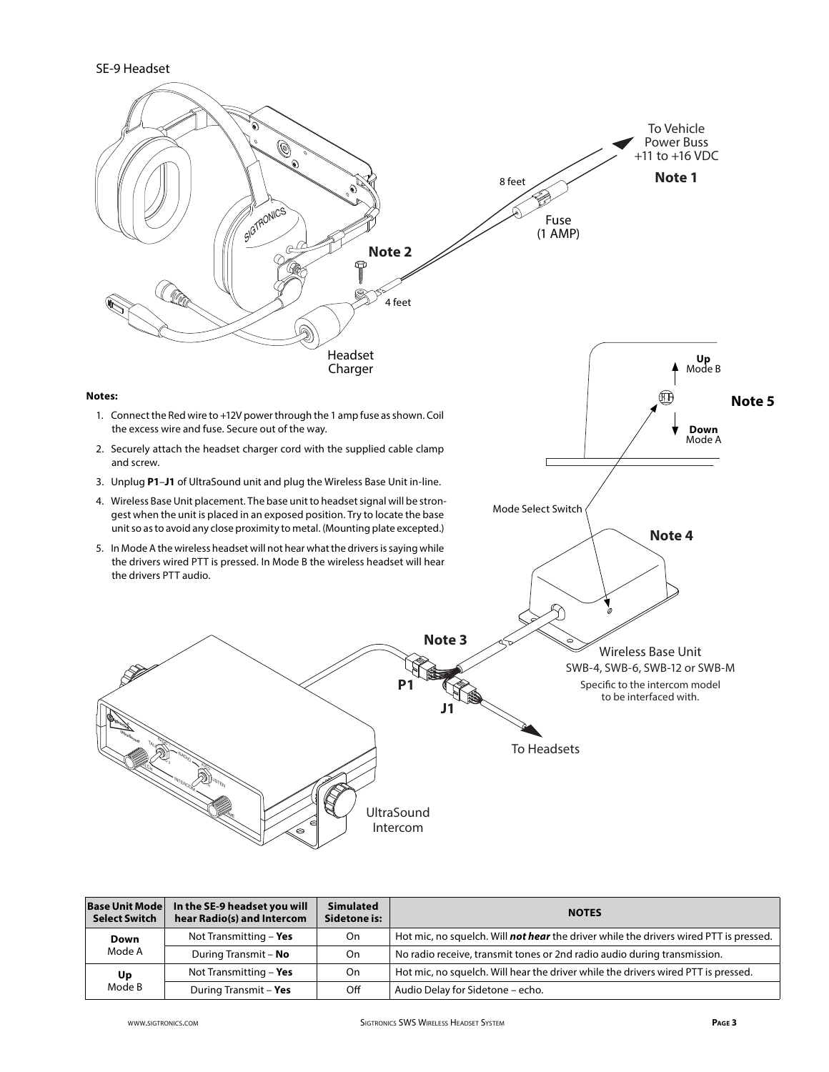SE-9 Headset



| <b>Base Unit Mode</b> | In the SE-9 headset you will | <b>Simulated</b> |                                                                                              |
|-----------------------|------------------------------|------------------|----------------------------------------------------------------------------------------------|
| <b>Select Switch</b>  | hear Radio(s) and Intercom   | Sidetone is:     | <b>NOTES</b>                                                                                 |
| Down<br>Mode A        | Not Transmitting - Yes       | On               | Hot mic, no squelch. Will <b>not hear</b> the driver while the drivers wired PTT is pressed. |
|                       | During Transmit - No         | On               | No radio receive, transmit tones or 2nd radio audio during transmission.                     |
| Up<br>Mode B          | Not Transmitting - Yes       | On               | Hot mic, no squelch. Will hear the driver while the drivers wired PTT is pressed.            |
|                       | During Transmit - Yes        | Off              | Audio Delay for Sidetone - echo.                                                             |